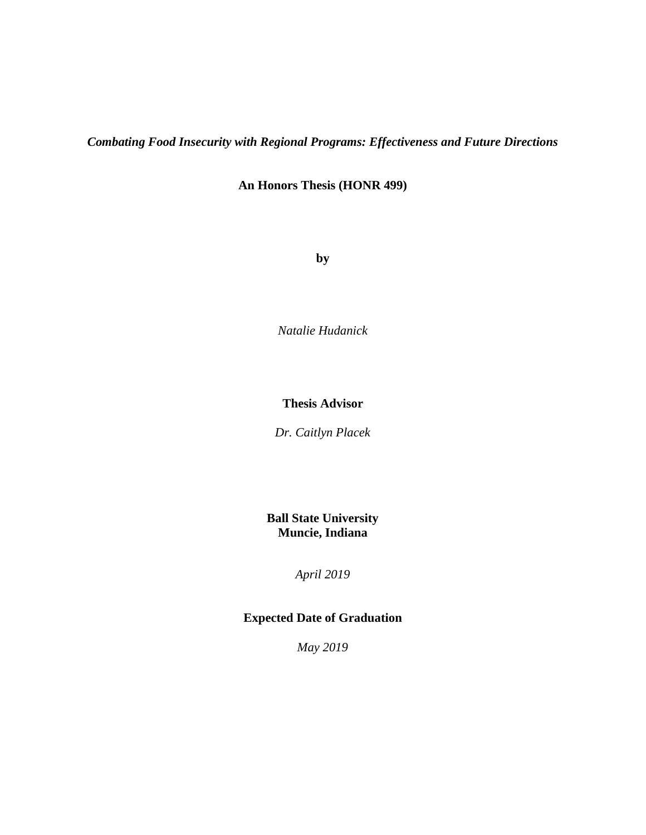*Combating Food Insecurity with Regional Programs: Effectiveness and Future Directions*

**An Honors Thesis (HONR 499)**

**by**

*Natalie Hudanick*

### **Thesis Advisor**

*Dr. Caitlyn Placek*

**Ball State University Muncie, Indiana**

*April 2019*

## **Expected Date of Graduation**

*May 2019*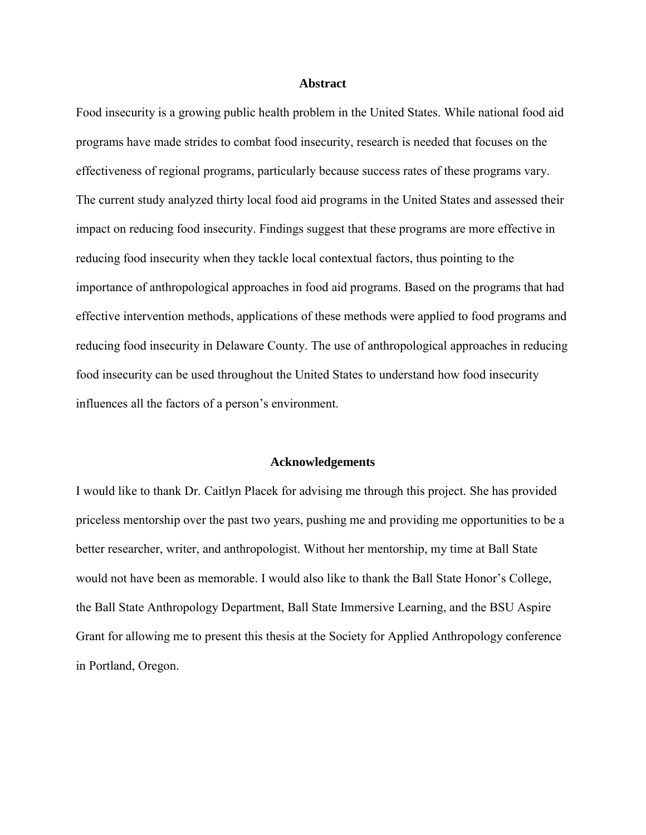#### **Abstract**

Food insecurity is a growing public health problem in the United States. While national food aid programs have made strides to combat food insecurity, research is needed that focuses on the effectiveness of regional programs, particularly because success rates of these programs vary. The current study analyzed thirty local food aid programs in the United States and assessed their impact on reducing food insecurity. Findings suggest that these programs are more effective in reducing food insecurity when they tackle local contextual factors, thus pointing to the importance of anthropological approaches in food aid programs. Based on the programs that had effective intervention methods, applications of these methods were applied to food programs and reducing food insecurity in Delaware County. The use of anthropological approaches in reducing food insecurity can be used throughout the United States to understand how food insecurity influences all the factors of a person's environment.

#### **Acknowledgements**

I would like to thank Dr. Caitlyn Placek for advising me through this project. She has provided priceless mentorship over the past two years, pushing me and providing me opportunities to be a better researcher, writer, and anthropologist. Without her mentorship, my time at Ball State would not have been as memorable. I would also like to thank the Ball State Honor's College, the Ball State Anthropology Department, Ball State Immersive Learning, and the BSU Aspire Grant for allowing me to present this thesis at the Society for Applied Anthropology conference in Portland, Oregon.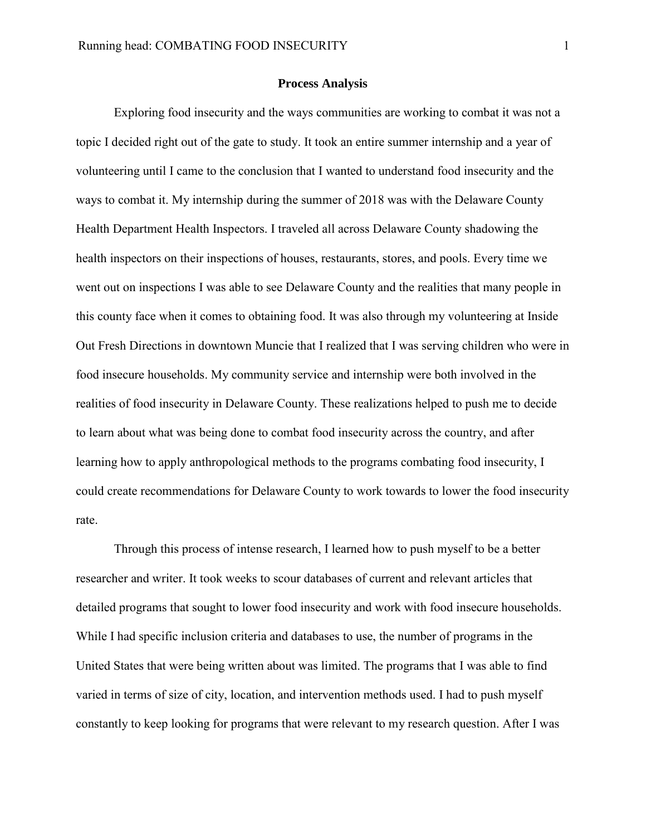#### **Process Analysis**

Exploring food insecurity and the ways communities are working to combat it was not a topic I decided right out of the gate to study. It took an entire summer internship and a year of volunteering until I came to the conclusion that I wanted to understand food insecurity and the ways to combat it. My internship during the summer of 2018 was with the Delaware County Health Department Health Inspectors. I traveled all across Delaware County shadowing the health inspectors on their inspections of houses, restaurants, stores, and pools. Every time we went out on inspections I was able to see Delaware County and the realities that many people in this county face when it comes to obtaining food. It was also through my volunteering at Inside Out Fresh Directions in downtown Muncie that I realized that I was serving children who were in food insecure households. My community service and internship were both involved in the realities of food insecurity in Delaware County. These realizations helped to push me to decide to learn about what was being done to combat food insecurity across the country, and after learning how to apply anthropological methods to the programs combating food insecurity, I could create recommendations for Delaware County to work towards to lower the food insecurity rate.

Through this process of intense research, I learned how to push myself to be a better researcher and writer. It took weeks to scour databases of current and relevant articles that detailed programs that sought to lower food insecurity and work with food insecure households. While I had specific inclusion criteria and databases to use, the number of programs in the United States that were being written about was limited. The programs that I was able to find varied in terms of size of city, location, and intervention methods used. I had to push myself constantly to keep looking for programs that were relevant to my research question. After I was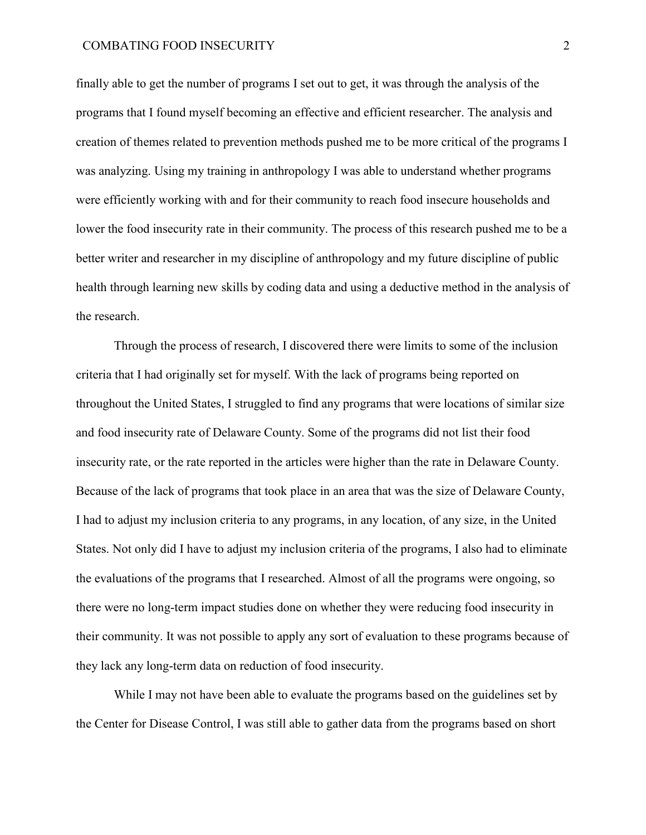#### COMBATING FOOD INSECURITY 2

finally able to get the number of programs I set out to get, it was through the analysis of the programs that I found myself becoming an effective and efficient researcher. The analysis and creation of themes related to prevention methods pushed me to be more critical of the programs I was analyzing. Using my training in anthropology I was able to understand whether programs were efficiently working with and for their community to reach food insecure households and lower the food insecurity rate in their community. The process of this research pushed me to be a better writer and researcher in my discipline of anthropology and my future discipline of public health through learning new skills by coding data and using a deductive method in the analysis of the research.

Through the process of research, I discovered there were limits to some of the inclusion criteria that I had originally set for myself. With the lack of programs being reported on throughout the United States, I struggled to find any programs that were locations of similar size and food insecurity rate of Delaware County. Some of the programs did not list their food insecurity rate, or the rate reported in the articles were higher than the rate in Delaware County. Because of the lack of programs that took place in an area that was the size of Delaware County, I had to adjust my inclusion criteria to any programs, in any location, of any size, in the United States. Not only did I have to adjust my inclusion criteria of the programs, I also had to eliminate the evaluations of the programs that I researched. Almost of all the programs were ongoing, so there were no long-term impact studies done on whether they were reducing food insecurity in their community. It was not possible to apply any sort of evaluation to these programs because of they lack any long-term data on reduction of food insecurity.

While I may not have been able to evaluate the programs based on the guidelines set by the Center for Disease Control, I was still able to gather data from the programs based on short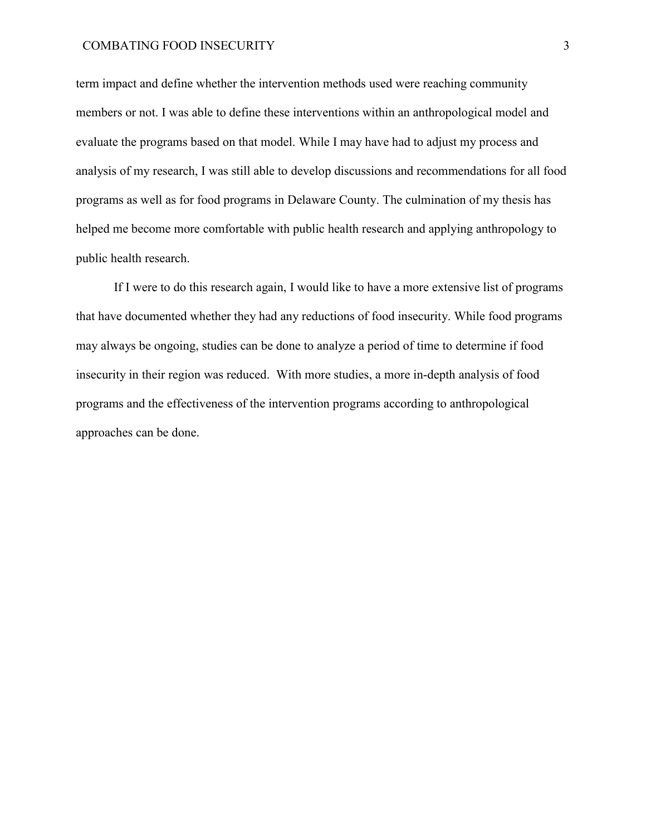#### COMBATING FOOD INSECURITY 3

term impact and define whether the intervention methods used were reaching community members or not. I was able to define these interventions within an anthropological model and evaluate the programs based on that model. While I may have had to adjust my process and analysis of my research, I was still able to develop discussions and recommendations for all food programs as well as for food programs in Delaware County. The culmination of my thesis has helped me become more comfortable with public health research and applying anthropology to public health research.

If I were to do this research again, I would like to have a more extensive list of programs that have documented whether they had any reductions of food insecurity. While food programs may always be ongoing, studies can be done to analyze a period of time to determine if food insecurity in their region was reduced. With more studies, a more in-depth analysis of food programs and the effectiveness of the intervention programs according to anthropological approaches can be done.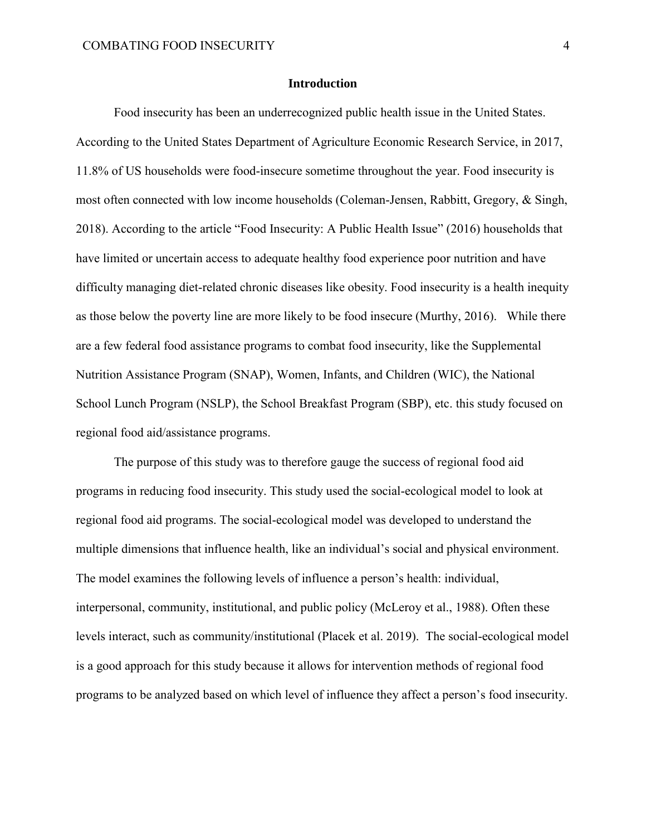#### **Introduction**

Food insecurity has been an underrecognized public health issue in the United States. According to the United States Department of Agriculture Economic Research Service, in 2017, 11.8% of US households were food-insecure sometime throughout the year. Food insecurity is most often connected with low income households (Coleman-Jensen, Rabbitt, Gregory, & Singh, 2018). According to the article "Food Insecurity: A Public Health Issue" (2016) households that have limited or uncertain access to adequate healthy food experience poor nutrition and have difficulty managing diet-related chronic diseases like obesity. Food insecurity is a health inequity as those below the poverty line are more likely to be food insecure (Murthy, 2016). While there are a few federal food assistance programs to combat food insecurity, like the Supplemental Nutrition Assistance Program (SNAP), Women, Infants, and Children (WIC), the National School Lunch Program (NSLP), the School Breakfast Program (SBP), etc. this study focused on regional food aid/assistance programs.

The purpose of this study was to therefore gauge the success of regional food aid programs in reducing food insecurity. This study used the social-ecological model to look at regional food aid programs. The social-ecological model was developed to understand the multiple dimensions that influence health, like an individual's social and physical environment. The model examines the following levels of influence a person's health: individual, interpersonal, community, institutional, and public policy (McLeroy et al., 1988). Often these levels interact, such as community/institutional (Placek et al. 2019). The social-ecological model is a good approach for this study because it allows for intervention methods of regional food programs to be analyzed based on which level of influence they affect a person's food insecurity.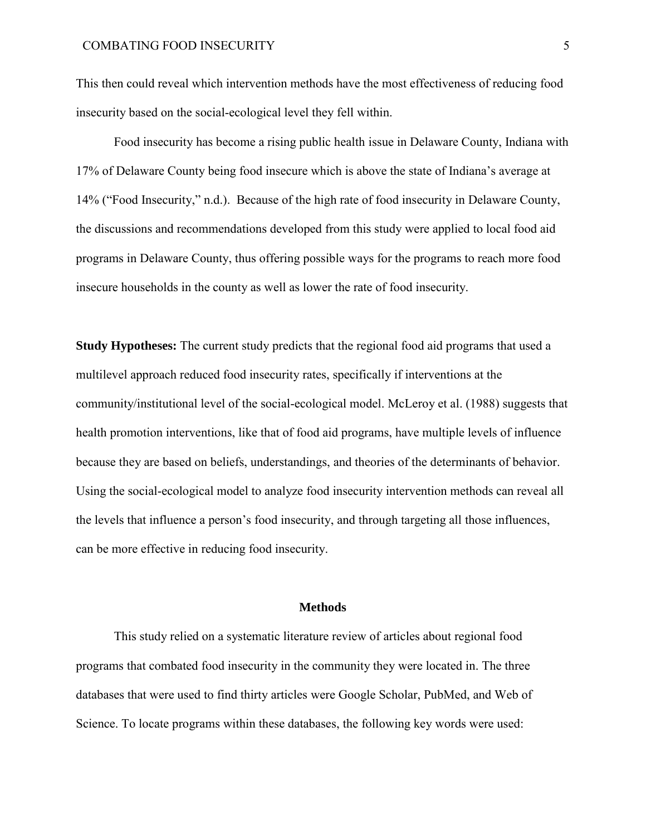This then could reveal which intervention methods have the most effectiveness of reducing food insecurity based on the social-ecological level they fell within.

Food insecurity has become a rising public health issue in Delaware County, Indiana with 17% of Delaware County being food insecure which is above the state of Indiana's average at 14% ("Food Insecurity," n.d.). Because of the high rate of food insecurity in Delaware County, the discussions and recommendations developed from this study were applied to local food aid programs in Delaware County, thus offering possible ways for the programs to reach more food insecure households in the county as well as lower the rate of food insecurity.

**Study Hypotheses:** The current study predicts that the regional food aid programs that used a multilevel approach reduced food insecurity rates, specifically if interventions at the community/institutional level of the social-ecological model. McLeroy et al. (1988) suggests that health promotion interventions, like that of food aid programs, have multiple levels of influence because they are based on beliefs, understandings, and theories of the determinants of behavior. Using the social-ecological model to analyze food insecurity intervention methods can reveal all the levels that influence a person's food insecurity, and through targeting all those influences, can be more effective in reducing food insecurity.

#### **Methods**

This study relied on a systematic literature review of articles about regional food programs that combated food insecurity in the community they were located in. The three databases that were used to find thirty articles were Google Scholar, PubMed, and Web of Science. To locate programs within these databases, the following key words were used: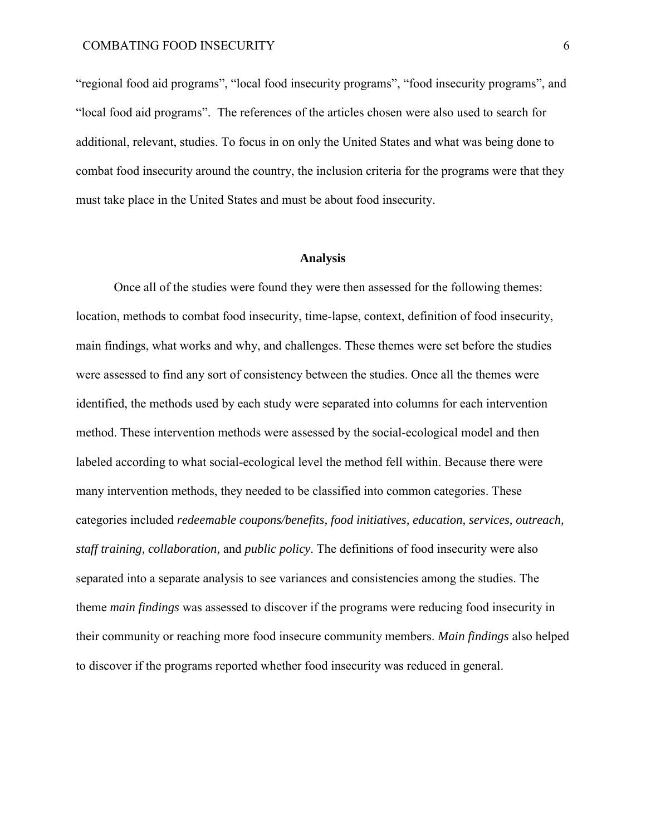"regional food aid programs", "local food insecurity programs", "food insecurity programs", and "local food aid programs". The references of the articles chosen were also used to search for additional, relevant, studies. To focus in on only the United States and what was being done to combat food insecurity around the country, the inclusion criteria for the programs were that they must take place in the United States and must be about food insecurity.

#### **Analysis**

Once all of the studies were found they were then assessed for the following themes: location, methods to combat food insecurity, time-lapse, context, definition of food insecurity, main findings, what works and why, and challenges. These themes were set before the studies were assessed to find any sort of consistency between the studies. Once all the themes were identified, the methods used by each study were separated into columns for each intervention method. These intervention methods were assessed by the social-ecological model and then labeled according to what social-ecological level the method fell within. Because there were many intervention methods, they needed to be classified into common categories. These categories included *redeemable coupons/benefits, food initiatives, education, services, outreach, staff training, collaboration,* and *public policy*. The definitions of food insecurity were also separated into a separate analysis to see variances and consistencies among the studies. The theme *main findings* was assessed to discover if the programs were reducing food insecurity in their community or reaching more food insecure community members. *Main findings* also helped to discover if the programs reported whether food insecurity was reduced in general.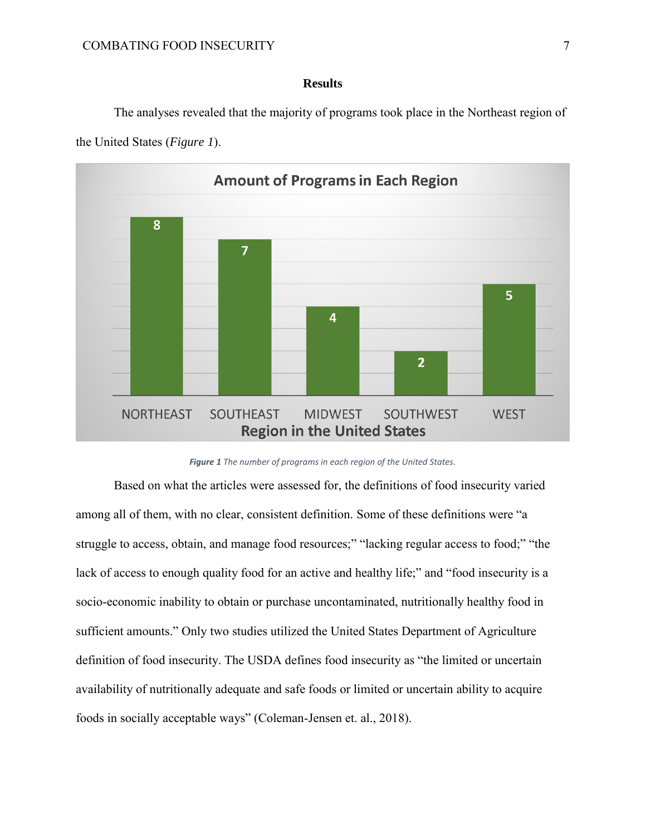#### **Results**

The analyses revealed that the majority of programs took place in the Northeast region of the United States (*Figure 1*).



*Figure 1 The number of programs in each region of the United States.*

Based on what the articles were assessed for, the definitions of food insecurity varied among all of them, with no clear, consistent definition. Some of these definitions were "a struggle to access, obtain, and manage food resources;" "lacking regular access to food;" "the lack of access to enough quality food for an active and healthy life;" and "food insecurity is a socio-economic inability to obtain or purchase uncontaminated, nutritionally healthy food in sufficient amounts." Only two studies utilized the United States Department of Agriculture definition of food insecurity. The USDA defines food insecurity as "the limited or uncertain availability of nutritionally adequate and safe foods or limited or uncertain ability to acquire foods in socially acceptable ways" (Coleman-Jensen et. al., 2018).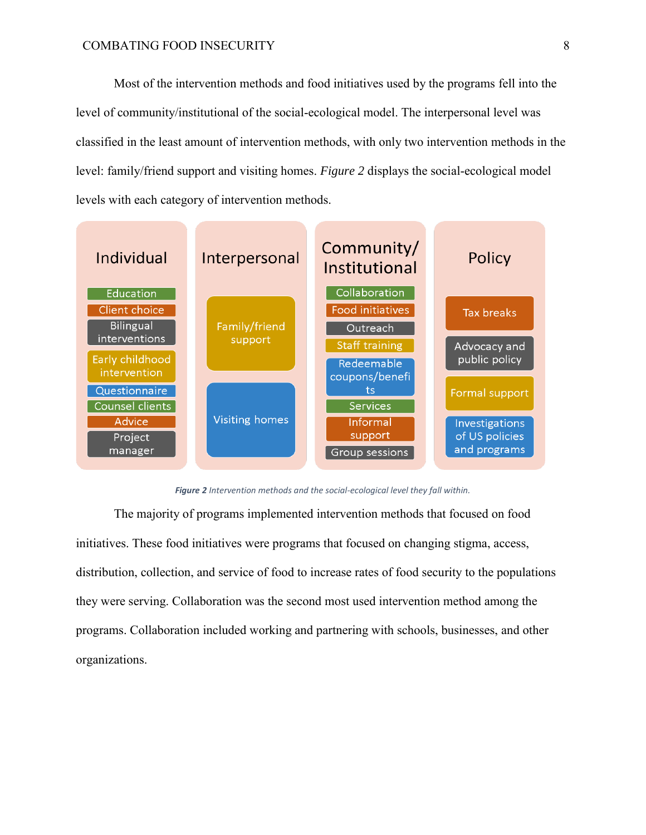Most of the intervention methods and food initiatives used by the programs fell into the level of community/institutional of the social-ecological model. The interpersonal level was classified in the least amount of intervention methods, with only two intervention methods in the level: family/friend support and visiting homes. *Figure 2* displays the social-ecological model levels with each category of intervention methods.



*Figure 2 Intervention methods and the social-ecological level they fall within.*

The majority of programs implemented intervention methods that focused on food initiatives. These food initiatives were programs that focused on changing stigma, access, distribution, collection, and service of food to increase rates of food security to the populations they were serving. Collaboration was the second most used intervention method among the programs. Collaboration included working and partnering with schools, businesses, and other organizations.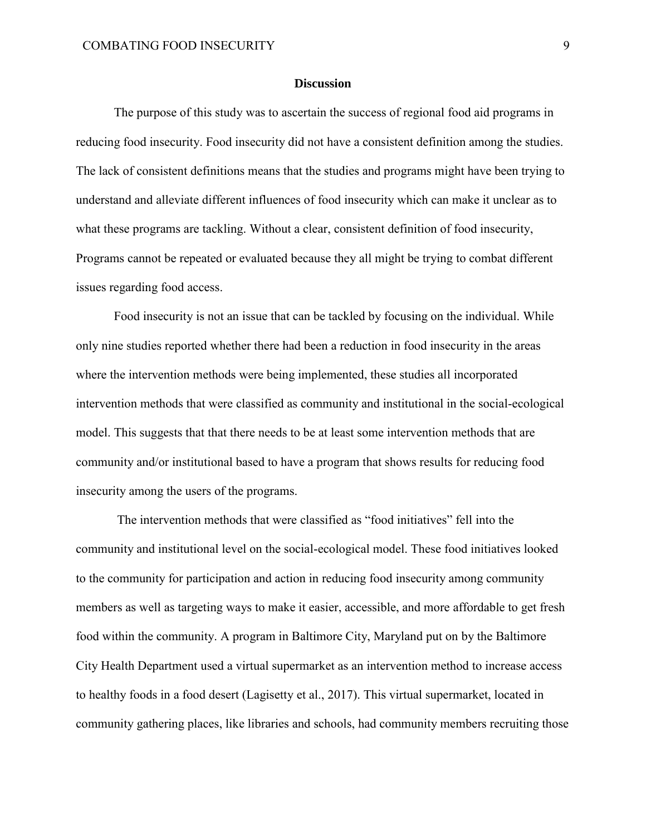#### **Discussion**

The purpose of this study was to ascertain the success of regional food aid programs in reducing food insecurity. Food insecurity did not have a consistent definition among the studies. The lack of consistent definitions means that the studies and programs might have been trying to understand and alleviate different influences of food insecurity which can make it unclear as to what these programs are tackling. Without a clear, consistent definition of food insecurity, Programs cannot be repeated or evaluated because they all might be trying to combat different issues regarding food access.

Food insecurity is not an issue that can be tackled by focusing on the individual. While only nine studies reported whether there had been a reduction in food insecurity in the areas where the intervention methods were being implemented, these studies all incorporated intervention methods that were classified as community and institutional in the social-ecological model. This suggests that that there needs to be at least some intervention methods that are community and/or institutional based to have a program that shows results for reducing food insecurity among the users of the programs.

The intervention methods that were classified as "food initiatives" fell into the community and institutional level on the social-ecological model. These food initiatives looked to the community for participation and action in reducing food insecurity among community members as well as targeting ways to make it easier, accessible, and more affordable to get fresh food within the community. A program in Baltimore City, Maryland put on by the Baltimore City Health Department used a virtual supermarket as an intervention method to increase access to healthy foods in a food desert (Lagisetty et al., 2017). This virtual supermarket, located in community gathering places, like libraries and schools, had community members recruiting those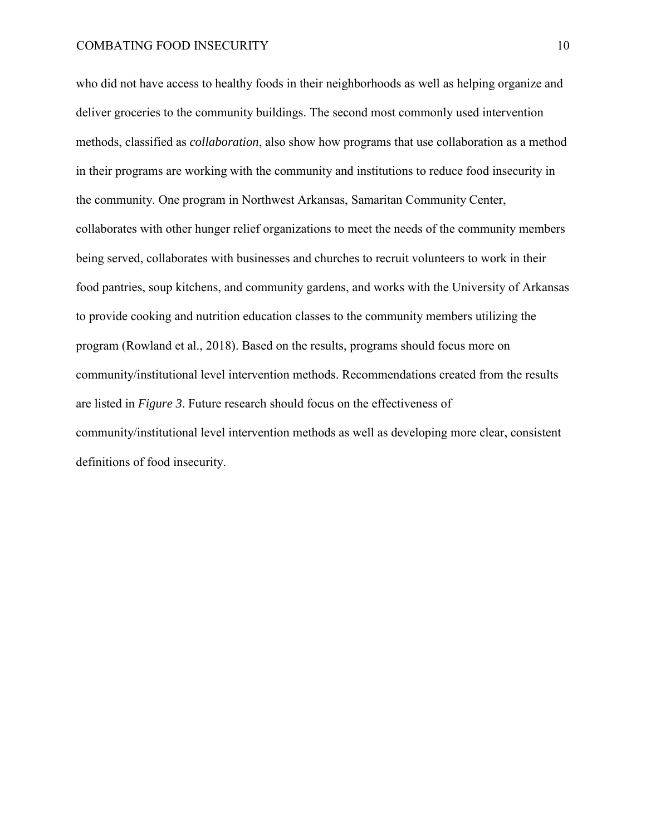who did not have access to healthy foods in their neighborhoods as well as helping organize and deliver groceries to the community buildings. The second most commonly used intervention methods, classified as *collaboration*, also show how programs that use collaboration as a method in their programs are working with the community and institutions to reduce food insecurity in the community. One program in Northwest Arkansas, Samaritan Community Center, collaborates with other hunger relief organizations to meet the needs of the community members being served, collaborates with businesses and churches to recruit volunteers to work in their food pantries, soup kitchens, and community gardens, and works with the University of Arkansas to provide cooking and nutrition education classes to the community members utilizing the program (Rowland et al., 2018). Based on the results, programs should focus more on community/institutional level intervention methods. Recommendations created from the results are listed in *Figure 3*. Future research should focus on the effectiveness of community/institutional level intervention methods as well as developing more clear, consistent definitions of food insecurity.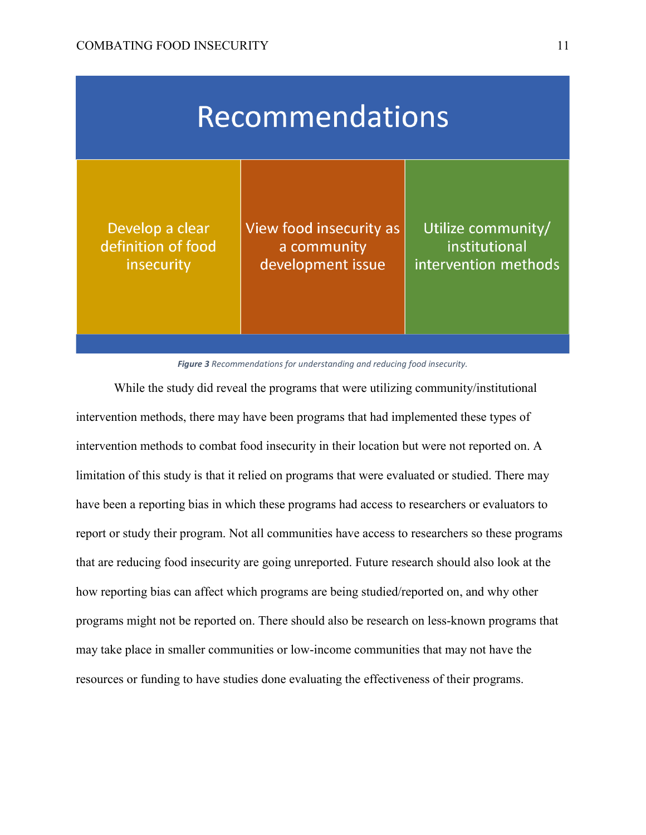# **Recommendations**

Develop a clear definition of food **insecurity** 

View food insecurity as a community development issue

Utilize community/ institutional intervention methods

*Figure 3 Recommendations for understanding and reducing food insecurity.*

While the study did reveal the programs that were utilizing community/institutional intervention methods, there may have been programs that had implemented these types of intervention methods to combat food insecurity in their location but were not reported on. A limitation of this study is that it relied on programs that were evaluated or studied. There may have been a reporting bias in which these programs had access to researchers or evaluators to report or study their program. Not all communities have access to researchers so these programs that are reducing food insecurity are going unreported. Future research should also look at the how reporting bias can affect which programs are being studied/reported on, and why other programs might not be reported on. There should also be research on less-known programs that may take place in smaller communities or low-income communities that may not have the resources or funding to have studies done evaluating the effectiveness of their programs.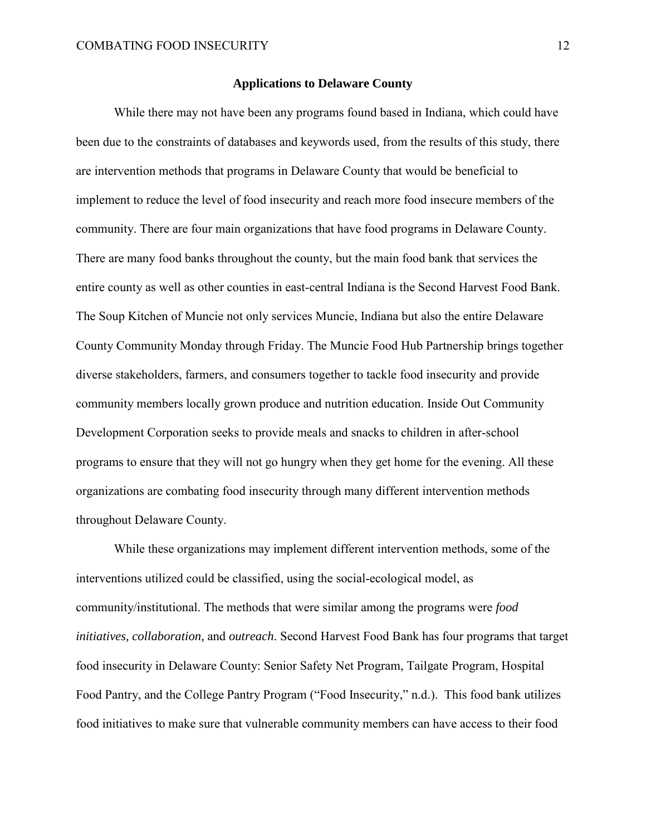#### **Applications to Delaware County**

While there may not have been any programs found based in Indiana, which could have been due to the constraints of databases and keywords used, from the results of this study, there are intervention methods that programs in Delaware County that would be beneficial to implement to reduce the level of food insecurity and reach more food insecure members of the community. There are four main organizations that have food programs in Delaware County. There are many food banks throughout the county, but the main food bank that services the entire county as well as other counties in east-central Indiana is the Second Harvest Food Bank. The Soup Kitchen of Muncie not only services Muncie, Indiana but also the entire Delaware County Community Monday through Friday. The Muncie Food Hub Partnership brings together diverse stakeholders, farmers, and consumers together to tackle food insecurity and provide community members locally grown produce and nutrition education. Inside Out Community Development Corporation seeks to provide meals and snacks to children in after-school programs to ensure that they will not go hungry when they get home for the evening. All these organizations are combating food insecurity through many different intervention methods throughout Delaware County.

While these organizations may implement different intervention methods, some of the interventions utilized could be classified, using the social-ecological model, as community/institutional. The methods that were similar among the programs were *food initiatives, collaboration,* and *outreach*. Second Harvest Food Bank has four programs that target food insecurity in Delaware County: Senior Safety Net Program, Tailgate Program, Hospital Food Pantry, and the College Pantry Program ("Food Insecurity," n.d.). This food bank utilizes food initiatives to make sure that vulnerable community members can have access to their food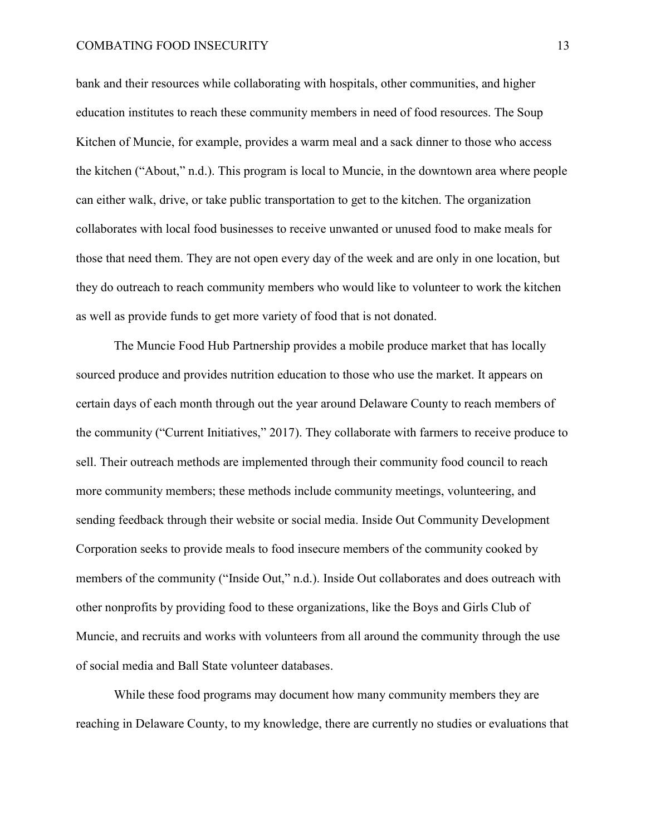#### COMBATING FOOD INSECURITY 13

bank and their resources while collaborating with hospitals, other communities, and higher education institutes to reach these community members in need of food resources. The Soup Kitchen of Muncie, for example, provides a warm meal and a sack dinner to those who access the kitchen ("About," n.d.). This program is local to Muncie, in the downtown area where people can either walk, drive, or take public transportation to get to the kitchen. The organization collaborates with local food businesses to receive unwanted or unused food to make meals for those that need them. They are not open every day of the week and are only in one location, but they do outreach to reach community members who would like to volunteer to work the kitchen as well as provide funds to get more variety of food that is not donated.

The Muncie Food Hub Partnership provides a mobile produce market that has locally sourced produce and provides nutrition education to those who use the market. It appears on certain days of each month through out the year around Delaware County to reach members of the community ("Current Initiatives," 2017). They collaborate with farmers to receive produce to sell. Their outreach methods are implemented through their community food council to reach more community members; these methods include community meetings, volunteering, and sending feedback through their website or social media. Inside Out Community Development Corporation seeks to provide meals to food insecure members of the community cooked by members of the community ("Inside Out," n.d.). Inside Out collaborates and does outreach with other nonprofits by providing food to these organizations, like the Boys and Girls Club of Muncie, and recruits and works with volunteers from all around the community through the use of social media and Ball State volunteer databases.

While these food programs may document how many community members they are reaching in Delaware County, to my knowledge, there are currently no studies or evaluations that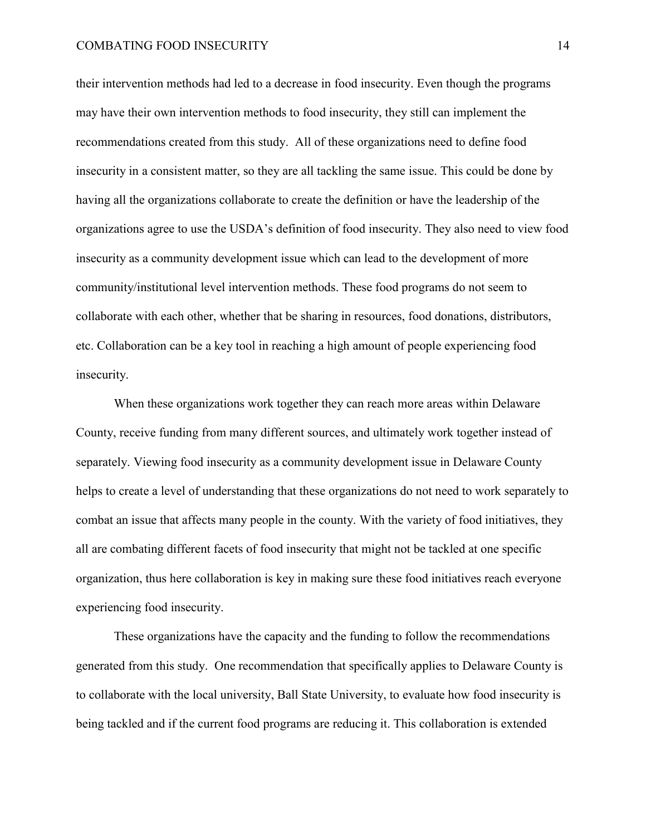their intervention methods had led to a decrease in food insecurity. Even though the programs may have their own intervention methods to food insecurity, they still can implement the recommendations created from this study. All of these organizations need to define food insecurity in a consistent matter, so they are all tackling the same issue. This could be done by having all the organizations collaborate to create the definition or have the leadership of the organizations agree to use the USDA's definition of food insecurity. They also need to view food insecurity as a community development issue which can lead to the development of more community/institutional level intervention methods. These food programs do not seem to collaborate with each other, whether that be sharing in resources, food donations, distributors, etc. Collaboration can be a key tool in reaching a high amount of people experiencing food insecurity.

When these organizations work together they can reach more areas within Delaware County, receive funding from many different sources, and ultimately work together instead of separately. Viewing food insecurity as a community development issue in Delaware County helps to create a level of understanding that these organizations do not need to work separately to combat an issue that affects many people in the county. With the variety of food initiatives, they all are combating different facets of food insecurity that might not be tackled at one specific organization, thus here collaboration is key in making sure these food initiatives reach everyone experiencing food insecurity.

These organizations have the capacity and the funding to follow the recommendations generated from this study. One recommendation that specifically applies to Delaware County is to collaborate with the local university, Ball State University, to evaluate how food insecurity is being tackled and if the current food programs are reducing it. This collaboration is extended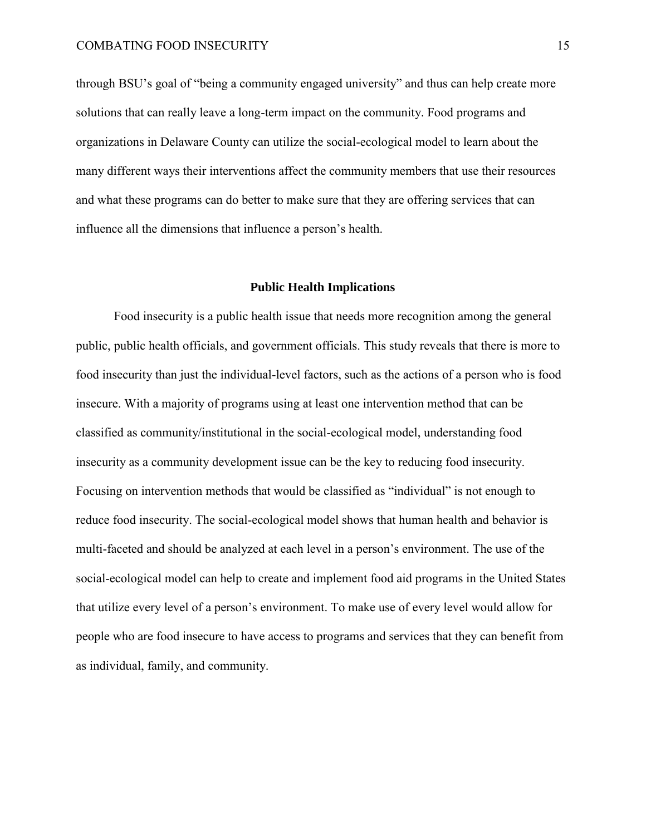through BSU's goal of "being a community engaged university" and thus can help create more solutions that can really leave a long-term impact on the community. Food programs and organizations in Delaware County can utilize the social-ecological model to learn about the many different ways their interventions affect the community members that use their resources and what these programs can do better to make sure that they are offering services that can influence all the dimensions that influence a person's health.

#### **Public Health Implications**

Food insecurity is a public health issue that needs more recognition among the general public, public health officials, and government officials. This study reveals that there is more to food insecurity than just the individual-level factors, such as the actions of a person who is food insecure. With a majority of programs using at least one intervention method that can be classified as community/institutional in the social-ecological model, understanding food insecurity as a community development issue can be the key to reducing food insecurity. Focusing on intervention methods that would be classified as "individual" is not enough to reduce food insecurity. The social-ecological model shows that human health and behavior is multi-faceted and should be analyzed at each level in a person's environment. The use of the social-ecological model can help to create and implement food aid programs in the United States that utilize every level of a person's environment. To make use of every level would allow for people who are food insecure to have access to programs and services that they can benefit from as individual, family, and community.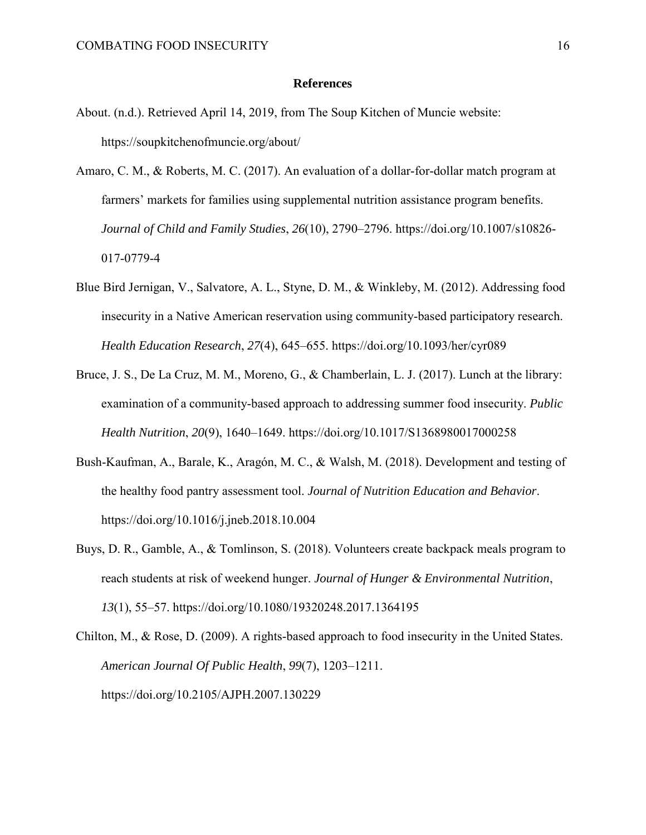#### **References**

- About. (n.d.). Retrieved April 14, 2019, from The Soup Kitchen of Muncie website: https://soupkitchenofmuncie.org/about/
- Amaro, C. M., & Roberts, M. C. (2017). An evaluation of a dollar-for-dollar match program at farmers' markets for families using supplemental nutrition assistance program benefits. *Journal of Child and Family Studies*, *26*(10), 2790–2796. https://doi.org/10.1007/s10826- 017-0779-4
- Blue Bird Jernigan, V., Salvatore, A. L., Styne, D. M., & Winkleby, M. (2012). Addressing food insecurity in a Native American reservation using community-based participatory research. *Health Education Research*, *27*(4), 645–655. https://doi.org/10.1093/her/cyr089
- Bruce, J. S., De La Cruz, M. M., Moreno, G., & Chamberlain, L. J. (2017). Lunch at the library: examination of a community-based approach to addressing summer food insecurity. *Public Health Nutrition*, *20*(9), 1640–1649. https://doi.org/10.1017/S1368980017000258
- Bush-Kaufman, A., Barale, K., Aragón, M. C., & Walsh, M. (2018). Development and testing of the healthy food pantry assessment tool. *Journal of Nutrition Education and Behavior*. https://doi.org/10.1016/j.jneb.2018.10.004
- Buys, D. R., Gamble, A., & Tomlinson, S. (2018). Volunteers create backpack meals program to reach students at risk of weekend hunger. *Journal of Hunger & Environmental Nutrition*, *13*(1), 55–57. https://doi.org/10.1080/19320248.2017.1364195

Chilton, M., & Rose, D. (2009). A rights-based approach to food insecurity in the United States. *American Journal Of Public Health*, *99*(7), 1203–1211. https://doi.org/10.2105/AJPH.2007.130229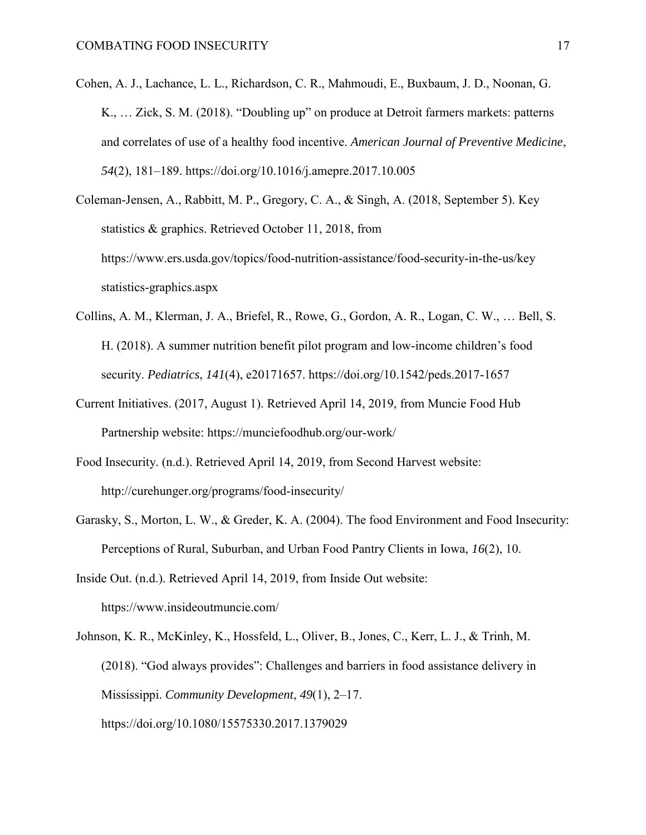Cohen, A. J., Lachance, L. L., Richardson, C. R., Mahmoudi, E., Buxbaum, J. D., Noonan, G. K., … Zick, S. M. (2018). "Doubling up" on produce at Detroit farmers markets: patterns and correlates of use of a healthy food incentive. *American Journal of Preventive Medicine*, *54*(2), 181–189. https://doi.org/10.1016/j.amepre.2017.10.005

Coleman-Jensen, A., Rabbitt, M. P., Gregory, C. A., & Singh, A. (2018, September 5). Key statistics & graphics. Retrieved October 11, 2018, from https://www.ers.usda.gov/topics/food-nutrition-assistance/food-security-in-the-us/key statistics-graphics.aspx

- Collins, A. M., Klerman, J. A., Briefel, R., Rowe, G., Gordon, A. R., Logan, C. W., … Bell, S. H. (2018). A summer nutrition benefit pilot program and low-income children's food security. *Pediatrics*, *141*(4), e20171657. https://doi.org/10.1542/peds.2017-1657
- Current Initiatives. (2017, August 1). Retrieved April 14, 2019, from Muncie Food Hub Partnership website: https://munciefoodhub.org/our-work/
- Food Insecurity. (n.d.). Retrieved April 14, 2019, from Second Harvest website: http://curehunger.org/programs/food-insecurity/
- Garasky, S., Morton, L. W., & Greder, K. A. (2004). The food Environment and Food Insecurity: Perceptions of Rural, Suburban, and Urban Food Pantry Clients in Iowa, *16*(2), 10.

Inside Out. (n.d.). Retrieved April 14, 2019, from Inside Out website: https://www.insideoutmuncie.com/

Johnson, K. R., McKinley, K., Hossfeld, L., Oliver, B., Jones, C., Kerr, L. J., & Trinh, M. (2018). "God always provides": Challenges and barriers in food assistance delivery in Mississippi. *Community Development*, *49*(1), 2–17. https://doi.org/10.1080/15575330.2017.1379029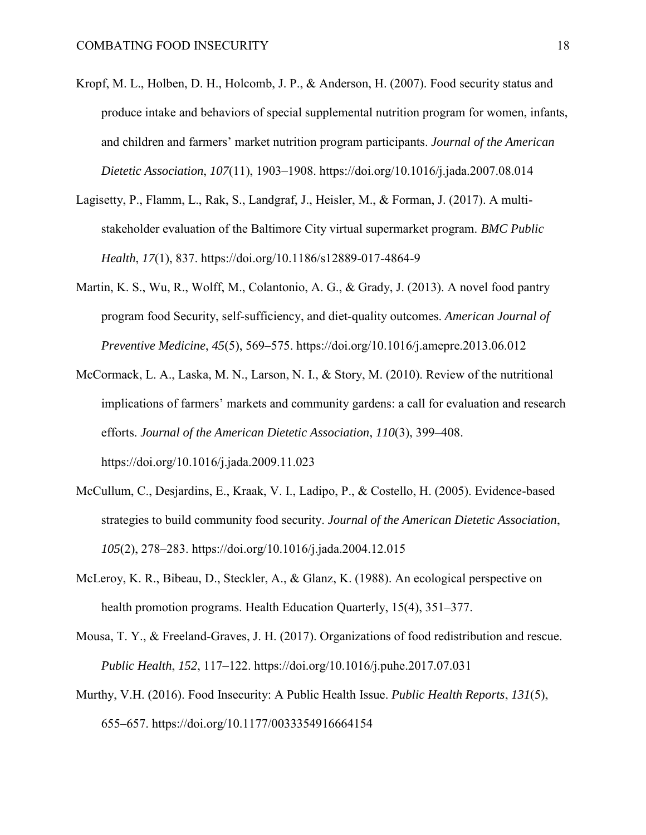- Kropf, M. L., Holben, D. H., Holcomb, J. P., & Anderson, H. (2007). Food security status and produce intake and behaviors of special supplemental nutrition program for women, infants, and children and farmers' market nutrition program participants. *Journal of the American Dietetic Association*, *107*(11), 1903–1908. https://doi.org/10.1016/j.jada.2007.08.014
- Lagisetty, P., Flamm, L., Rak, S., Landgraf, J., Heisler, M., & Forman, J. (2017). A multistakeholder evaluation of the Baltimore City virtual supermarket program. *BMC Public Health*, *17*(1), 837. https://doi.org/10.1186/s12889-017-4864-9
- Martin, K. S., Wu, R., Wolff, M., Colantonio, A. G., & Grady, J. (2013). A novel food pantry program food Security, self-sufficiency, and diet-quality outcomes. *American Journal of Preventive Medicine*, *45*(5), 569–575. https://doi.org/10.1016/j.amepre.2013.06.012
- McCormack, L. A., Laska, M. N., Larson, N. I., & Story, M. (2010). Review of the nutritional implications of farmers' markets and community gardens: a call for evaluation and research efforts. *Journal of the American Dietetic Association*, *110*(3), 399–408. https://doi.org/10.1016/j.jada.2009.11.023
- McCullum, C., Desjardins, E., Kraak, V. I., Ladipo, P., & Costello, H. (2005). Evidence-based strategies to build community food security. *Journal of the American Dietetic Association*, *105*(2), 278–283. https://doi.org/10.1016/j.jada.2004.12.015
- McLeroy, K. R., Bibeau, D., Steckler, A., & Glanz, K. (1988). An ecological perspective on health promotion programs. Health Education Quarterly, 15(4), 351–377.
- Mousa, T. Y., & Freeland-Graves, J. H. (2017). Organizations of food redistribution and rescue. *Public Health*, *152*, 117–122. https://doi.org/10.1016/j.puhe.2017.07.031
- Murthy, V.H. (2016). Food Insecurity: A Public Health Issue. *Public Health Reports*, *131*(5), 655–657. https://doi.org/10.1177/0033354916664154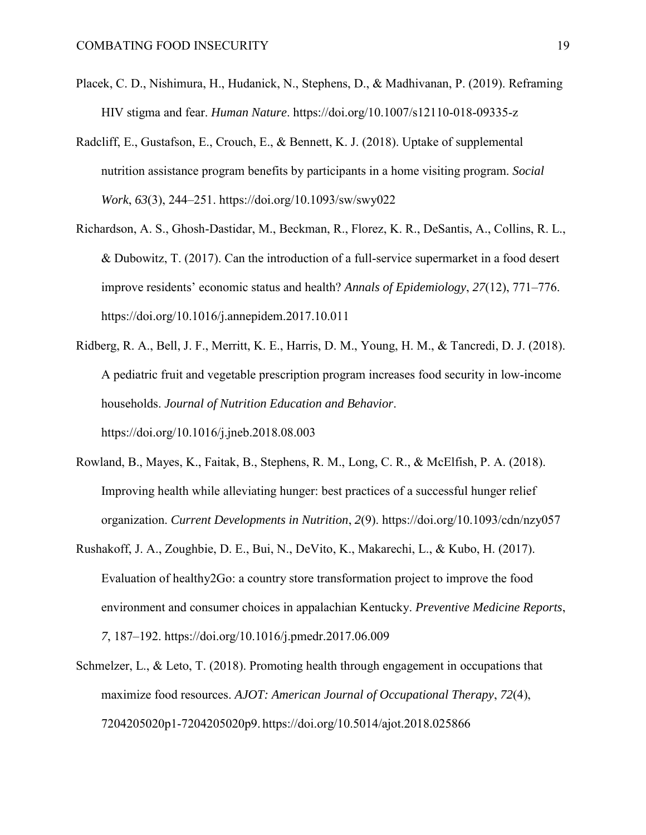- Placek, C. D., Nishimura, H., Hudanick, N., Stephens, D., & Madhivanan, P. (2019). Reframing HIV stigma and fear. *Human Nature*. https://doi.org/10.1007/s12110-018-09335-z
- Radcliff, E., Gustafson, E., Crouch, E., & Bennett, K. J. (2018). Uptake of supplemental nutrition assistance program benefits by participants in a home visiting program. *Social Work*, *63*(3), 244–251. https://doi.org/10.1093/sw/swy022
- Richardson, A. S., Ghosh-Dastidar, M., Beckman, R., Florez, K. R., DeSantis, A., Collins, R. L., & Dubowitz, T. (2017). Can the introduction of a full-service supermarket in a food desert improve residents' economic status and health? *Annals of Epidemiology*, *27*(12), 771–776. https://doi.org/10.1016/j.annepidem.2017.10.011
- Ridberg, R. A., Bell, J. F., Merritt, K. E., Harris, D. M., Young, H. M., & Tancredi, D. J. (2018). A pediatric fruit and vegetable prescription program increases food security in low-income households. *Journal of Nutrition Education and Behavior*.

https://doi.org/10.1016/j.jneb.2018.08.003

- Rowland, B., Mayes, K., Faitak, B., Stephens, R. M., Long, C. R., & McElfish, P. A. (2018). Improving health while alleviating hunger: best practices of a successful hunger relief organization. *Current Developments in Nutrition*, *2*(9). https://doi.org/10.1093/cdn/nzy057
- Rushakoff, J. A., Zoughbie, D. E., Bui, N., DeVito, K., Makarechi, L., & Kubo, H. (2017). Evaluation of healthy2Go: a country store transformation project to improve the food environment and consumer choices in appalachian Kentucky. *Preventive Medicine Reports*, *7*, 187–192. https://doi.org/10.1016/j.pmedr.2017.06.009
- Schmelzer, L., & Leto, T. (2018). Promoting health through engagement in occupations that maximize food resources. *AJOT: American Journal of Occupational Therapy*, *72*(4), 7204205020p1-7204205020p9. https://doi.org/10.5014/ajot.2018.025866